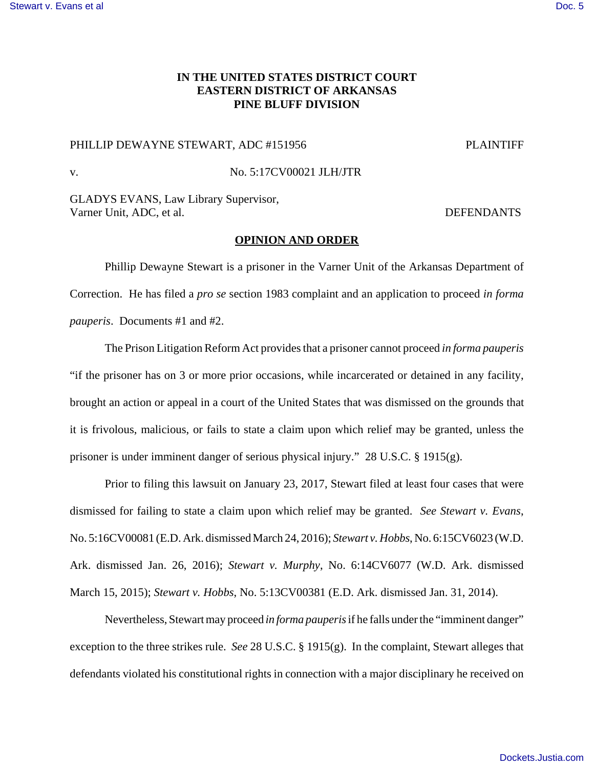## **IN THE UNITED STATES DISTRICT COURT EASTERN DISTRICT OF ARKANSAS PINE BLUFF DIVISION**

## PHILLIP DEWAYNE STEWART, ADC #151956 PLAINTIFF

## v. No. 5:17CV00021 JLH/JTR

GLADYS EVANS, Law Library Supervisor, Varner Unit, ADC, et al. DEFENDANTS

## **OPINION AND ORDER**

Phillip Dewayne Stewart is a prisoner in the Varner Unit of the Arkansas Department of Correction. He has filed a *pro se* section 1983 complaint and an application to proceed *in forma pauperis*. Documents #1 and #2.

The Prison Litigation Reform Act provides that a prisoner cannot proceed *in forma pauperis* "if the prisoner has on 3 or more prior occasions, while incarcerated or detained in any facility, brought an action or appeal in a court of the United States that was dismissed on the grounds that it is frivolous, malicious, or fails to state a claim upon which relief may be granted, unless the prisoner is under imminent danger of serious physical injury." 28 U.S.C. § 1915(g).

Prior to filing this lawsuit on January 23, 2017, Stewart filed at least four cases that were dismissed for failing to state a claim upon which relief may be granted. *See Stewart v. Evans*, No. 5:16CV00081 (E.D. Ark. dismissed March 24, 2016); *Stewart v. Hobbs*, No. 6:15CV6023 (W.D. Ark. dismissed Jan. 26, 2016); *Stewart v. Murphy*, No. 6:14CV6077 (W.D. Ark. dismissed March 15, 2015); *Stewart v. Hobbs*, No. 5:13CV00381 (E.D. Ark. dismissed Jan. 31, 2014).

Nevertheless, Stewart may proceed *in forma pauperis* if he falls under the "imminent danger" exception to the three strikes rule. *See* 28 U.S.C. § 1915(g). In the complaint, Stewart alleges that defendants violated his constitutional rights in connection with a major disciplinary he received on